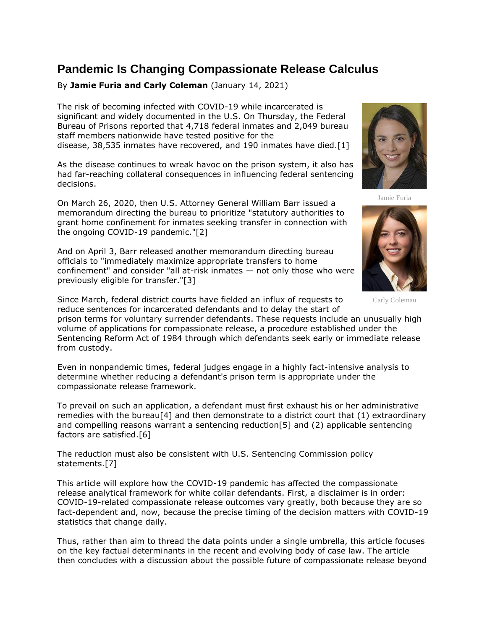## **Pandemic Is Changing Compassionate Release Calculus**

By **Jamie Furia and Carly Coleman** (January 14, 2021)

The risk of becoming infected with COVID-19 while incarcerated is significant and widely documented in the U.S. On Thursday, the [Federal](https://www.law360.com/agencies/federal-bureau-of-prisons)  [Bureau of Prisons](https://www.law360.com/agencies/federal-bureau-of-prisons) reported that 4,718 federal inmates and 2,049 bureau staff members nationwide have tested positive for the disease, 38,535 inmates have recovered, and 190 inmates have died.[1]

As the disease continues to wreak havoc on the prison system, it also has had far-reaching collateral consequences in influencing federal sentencing decisions.

On March 26, 2020, then U.S. Attorney General William Barr issued a memorandum directing the bureau to prioritize "statutory authorities to grant home confinement for inmates seeking transfer in connection with the ongoing COVID-19 pandemic."[2]

And on April 3, Barr released another memorandum directing bureau officials to "immediately maximize appropriate transfers to home confinement" and consider "all at-risk inmates — not only those who were previously eligible for transfer."[3]

Since March, federal district courts have fielded an influx of requests to reduce sentences for incarcerated defendants and to delay the start of

prison terms for voluntary surrender defendants. These requests include an unusually high volume of applications for compassionate release, a procedure established under the Sentencing Reform Act of 1984 through which defendants seek early or immediate release from custody.

Even in nonpandemic times, federal judges engage in a highly fact-intensive analysis to determine whether reducing a defendant's prison term is appropriate under the compassionate release framework.

To prevail on such an application, a defendant must first exhaust his or her administrative remedies with the bureau<sup>[4]</sup> and then demonstrate to a district court that  $(1)$  extraordinary and compelling reasons warrant a sentencing reduction[5] and (2) applicable sentencing factors are satisfied.[6]

The reduction must also be consistent with [U.S. Sentencing Commission](https://www.law360.com/agencies/u-s-sentencing-commission) policy statements.[7]

This article will explore how the COVID-19 pandemic has affected the compassionate release analytical framework for white collar defendants. First, a disclaimer is in order: COVID-19-related compassionate release outcomes vary greatly, both because they are so fact-dependent and, now, because the precise timing of the decision matters with COVID-19 statistics that change daily.

Thus, rather than aim to thread the data points under a single umbrella, this article focuses on the key factual determinants in the recent and evolving body of case law. The article then concludes with a discussion about the possible future of compassionate release beyond



Jamie Furia



Carly Coleman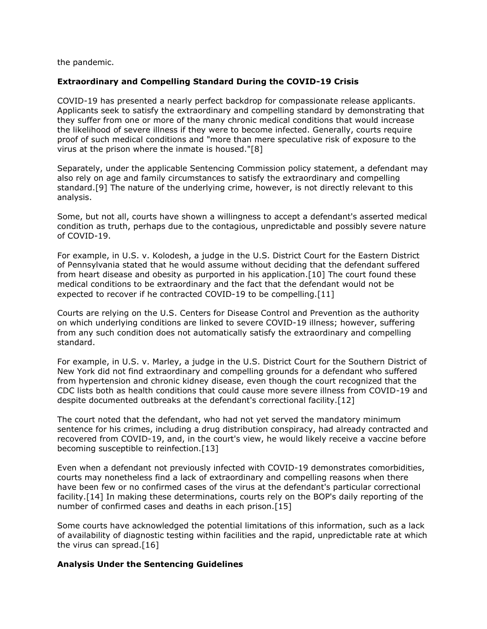the pandemic.

## **Extraordinary and Compelling Standard During the COVID-19 Crisis**

COVID-19 has presented a nearly perfect backdrop for compassionate release applicants. Applicants seek to satisfy the extraordinary and compelling standard by demonstrating that they suffer from one or more of the many chronic medical conditions that would increase the likelihood of severe illness if they were to become infected. Generally, courts require proof of such medical conditions and "more than mere speculative risk of exposure to the virus at the prison where the inmate is housed."[8]

Separately, under the applicable Sentencing Commission policy statement, a defendant may also rely on age and family circumstances to satisfy the extraordinary and compelling standard.[9] The nature of the underlying crime, however, is not directly relevant to this analysis.

Some, but not all, courts have shown a willingness to accept a defendant's asserted medical condition as truth, perhaps due to the contagious, unpredictable and possibly severe nature of COVID-19.

For example, in U.S. v. Kolodesh, a judge in the [U.S. District Court for the Eastern District](https://www.law360.com/agencies/u-s-district-court-for-the-eastern-district-of-pennsylvania)  [of Pennsylvania](https://www.law360.com/agencies/u-s-district-court-for-the-eastern-district-of-pennsylvania) stated that he would assume without deciding that the defendant suffered from heart disease and obesity as purported in his application.[10] The court found these medical conditions to be extraordinary and the fact that the defendant would not be expected to recover if he contracted COVID-19 to be compelling.[11]

Courts are relying on the U.S. [Centers for Disease Control and Prevention](https://www.law360.com/agencies/centers-for-disease-control-and-prevention) as the authority on which underlying conditions are linked to severe COVID-19 illness; however, suffering from any such condition does not automatically satisfy the extraordinary and compelling standard.

For example, in U.S. v. Marley, a judge in the [U.S. District Court for the Southern District of](https://www.law360.com/agencies/u-s-district-court-for-the-southern-district-of-new-york)  [New York](https://www.law360.com/agencies/u-s-district-court-for-the-southern-district-of-new-york) did not find extraordinary and compelling grounds for a defendant who suffered from hypertension and chronic kidney disease, even though the court recognized that the CDC lists both as health conditions that could cause more severe illness from COVID-19 and despite documented outbreaks at the defendant's correctional facility.[12]

The court noted that the defendant, who had not yet served the mandatory minimum sentence for his crimes, including a drug distribution conspiracy, had already contracted and recovered from COVID-19, and, in the court's view, he would likely receive a vaccine before becoming susceptible to reinfection.[13]

Even when a defendant not previously infected with COVID-19 demonstrates comorbidities, courts may nonetheless find a lack of extraordinary and compelling reasons when there have been few or no confirmed cases of the virus at the defendant's particular correctional facility.[14] In making these determinations, courts rely on the BOP's daily reporting of the number of confirmed cases and deaths in each prison.[15]

Some courts have acknowledged the potential limitations of this information, such as a lack of availability of diagnostic testing within facilities and the rapid, unpredictable rate at which the virus can spread.[16]

## **Analysis Under the Sentencing Guidelines**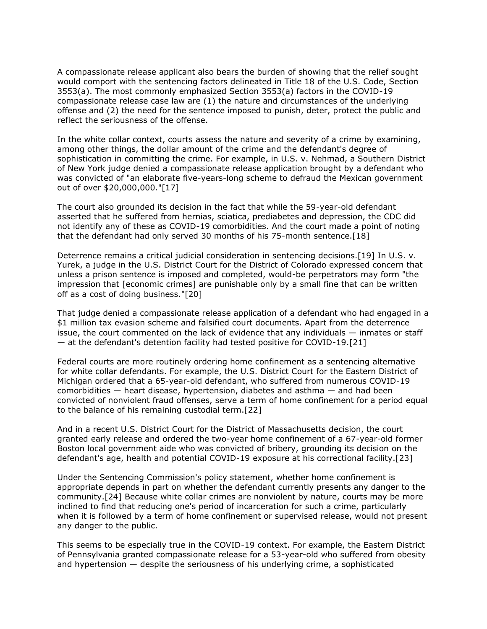A compassionate release applicant also bears the burden of showing that the relief sought would comport with the sentencing factors delineated in Title 18 of the U.S. Code, Section 3553(a). The most commonly emphasized Section 3553(a) factors in the COVID-19 compassionate release case law are (1) the nature and circumstances of the underlying offense and (2) the need for the sentence imposed to punish, deter, protect the public and reflect the seriousness of the offense.

In the white collar context, courts assess the nature and severity of a crime by examining, among other things, the dollar amount of the crime and the defendant's degree of sophistication in committing the crime. For example, in U.S. v. Nehmad, a Southern District of New York judge denied a compassionate release application brought by a defendant who was convicted of "an elaborate five-years-long scheme to defraud the Mexican government out of over \$20,000,000."[17]

The court also grounded its decision in the fact that while the 59-year-old defendant asserted that he suffered from hernias, sciatica, prediabetes and depression, the CDC did not identify any of these as COVID-19 comorbidities. And the court made a point of noting that the defendant had only served 30 months of his 75-month sentence.[18]

Deterrence remains a critical judicial consideration in sentencing decisions.[19] In U.S. v. Yurek, a judge in the [U.S. District Court for the District of Colorado](https://www.law360.com/agencies/united-states-district-court-for-the-district-of-colorado) expressed concern that unless a prison sentence is imposed and completed, would-be perpetrators may form "the impression that [economic crimes] are punishable only by a small fine that can be written off as a cost of doing business."[20]

That judge denied a compassionate release application of a defendant who had engaged in a \$1 million tax evasion scheme and falsified court documents. Apart from the deterrence issue, the court commented on the lack of evidence that any individuals — inmates or staff — at the defendant's detention facility had tested positive for COVID-19.[21]

Federal courts are more routinely ordering home confinement as a sentencing alternative for white collar defendants. For example, the [U.S. District Court for the Eastern District of](https://www.law360.com/agencies/u-s-district-court-for-the-eastern-district-of-michigan)  [Michigan](https://www.law360.com/agencies/u-s-district-court-for-the-eastern-district-of-michigan) ordered that a 65-year-old defendant, who suffered from numerous COVID-19 comorbidities — heart disease, hypertension, diabetes and asthma — and had been convicted of nonviolent fraud offenses, serve a term of home confinement for a period equal to the balance of his remaining custodial term.[22]

And in a recent [U.S. District Court for the District of Massachusetts](https://www.law360.com/agencies/u-s-district-court-for-the-district-of-massachusetts) decision, the court granted early release and ordered the two-year home confinement of a 67-year-old former Boston local government aide who was convicted of bribery, grounding its decision on the defendant's age, health and potential COVID-19 exposure at his correctional facility.[23]

Under the Sentencing Commission's policy statement, whether home confinement is appropriate depends in part on whether the defendant currently presents any danger to the community.[24] Because white collar crimes are nonviolent by nature, courts may be more inclined to find that reducing one's period of incarceration for such a crime, particularly when it is followed by a term of home confinement or supervised release, would not present any danger to the public.

This seems to be especially true in the COVID-19 context. For example, the Eastern District of Pennsylvania granted compassionate release for a 53-year-old who suffered from obesity and hypertension — despite the seriousness of his underlying crime, a sophisticated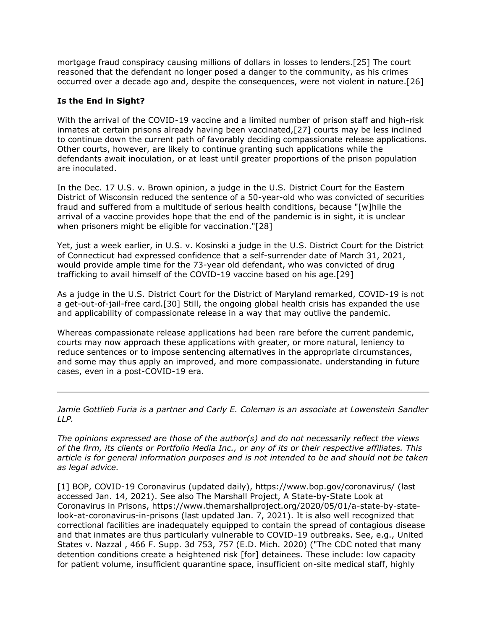mortgage fraud conspiracy causing millions of dollars in losses to lenders.[25] The court reasoned that the defendant no longer posed a danger to the community, as his crimes occurred over a decade ago and, despite the consequences, were not violent in nature.[26]

## **Is the End in Sight?**

With the arrival of the COVID-19 vaccine and a limited number of prison staff and high-risk inmates at certain prisons already having been vaccinated,[27] courts may be less inclined to continue down the current path of favorably deciding compassionate release applications. Other courts, however, are likely to continue granting such applications while the defendants await inoculation, or at least until greater proportions of the prison population are inoculated.

In the Dec. 17 U.S. v. Brown opinion, a judge in the [U.S. District Court for the Eastern](https://www.law360.com/agencies/united-states-district-court-for-the-eastern-district-of-wisconsin)  [District of Wisconsin](https://www.law360.com/agencies/united-states-district-court-for-the-eastern-district-of-wisconsin) reduced the sentence of a 50-year-old who was convicted of securities fraud and suffered from a multitude of serious health conditions, because "[w]hile the arrival of a vaccine provides hope that the end of the pandemic is in sight, it is unclear when prisoners might be eligible for vaccination."[28]

Yet, just a week earlier, in U.S. v. Kosinski a judge in the [U.S. District Court for the District](https://www.law360.com/agencies/u-s-district-court-for-the-district-of-connecticut)  [of Connecticut](https://www.law360.com/agencies/u-s-district-court-for-the-district-of-connecticut) had expressed confidence that a self-surrender date of March 31, 2021, would provide ample time for the 73-year old defendant, who was convicted of drug trafficking to avail himself of the COVID-19 vaccine based on his age.[29]

As a judge in the [U.S. District Court for the District of Maryland](https://www.law360.com/agencies/u-s-district-court-for-the-district-of-maryland) remarked, COVID-19 is not a get-out-of-jail-free card.[30] Still, the ongoing global health crisis has expanded the use and applicability of compassionate release in a way that may outlive the pandemic.

Whereas compassionate release applications had been rare before the current pandemic, courts may now approach these applications with greater, or more natural, leniency to reduce sentences or to impose sentencing alternatives in the appropriate circumstances, and some may thus apply an improved, and more compassionate. understanding in future cases, even in a post-COVID-19 era.

*[Jamie Gottlieb Furia](https://www.lowenstein.com/people/attorneys/jamie-gottlieb-furia) is a partner and [Carly E. Coleman](https://www.lowenstein.com/people/attorneys/carly-coleman) is an associate at [Lowenstein Sandler](https://www.law360.com/firms/lowenstein-sandler)  [LLP.](https://www.law360.com/firms/lowenstein-sandler)*

*The opinions expressed are those of the author(s) and do not necessarily reflect the views of the firm, its clients or Portfolio Media Inc., or any of its or their respective affiliates. This article is for general information purposes and is not intended to be and should not be taken as legal advice.*

[1] BOP, COVID-19 Coronavirus (updated daily), <https://www.bop.gov/coronavirus/> (last accessed Jan. 14, 2021). See also The Marshall Project, A State-by-State Look at Coronavirus in Prisons, [https://www.themarshallproject.org/2020/05/01/a-state-by-state](https://www.themarshallproject.org/2020/05/01/a-state-by-state-look-at-coronavirus-in-prisons)[look-at-coronavirus-in-prisons](https://www.themarshallproject.org/2020/05/01/a-state-by-state-look-at-coronavirus-in-prisons) (last updated Jan. 7, 2021). It is also well recognized that correctional facilities are inadequately equipped to contain the spread of contagious disease and that inmates are thus particularly vulnerable to COVID-19 outbreaks. See, e.g., [United](https://advance.lexis.com/api/search?q=2020%20U.S.%20Dist.%20LEXIS%20101391&qlang=bool&origination=law360&internalOrigination=article_id%3D1343757%3Bcitation%3D2020%20U.S.%20Dist.%20LEXIS%20101391&originationDetail=headline%3DPandemic%20Is%20Changing%20Compassionate%20Release%20Calculus&)  [States v. Nazzal](https://advance.lexis.com/api/search?q=2020%20U.S.%20Dist.%20LEXIS%20101391&qlang=bool&origination=law360&internalOrigination=article_id%3D1343757%3Bcitation%3D2020%20U.S.%20Dist.%20LEXIS%20101391&originationDetail=headline%3DPandemic%20Is%20Changing%20Compassionate%20Release%20Calculus&) , 466 F. Supp. 3d 753, 757 (E.D. Mich. 2020) ("The CDC noted that many detention conditions create a heightened risk [for] detainees. These include: low capacity for patient volume, insufficient quarantine space, insufficient on-site medical staff, highly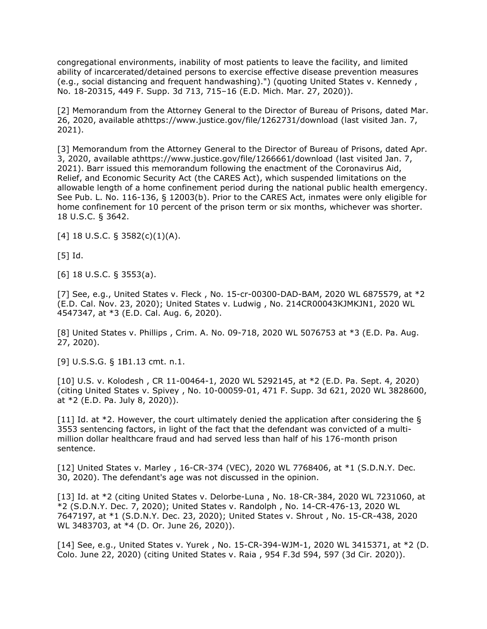congregational environments, inability of most patients to leave the facility, and limited ability of incarcerated/detained persons to exercise effective disease prevention measures (e.g., social distancing and frequent handwashing).") (quoting [United States v. Kennedy](https://advance.lexis.com/api/search?q=2020%20U.S.%20Dist.%20LEXIS%2053359&qlang=bool&origination=law360&internalOrigination=article_id%3D1343757%3Bcitation%3D2020%20U.S.%20Dist.%20LEXIS%2053359&originationDetail=headline%3DPandemic%20Is%20Changing%20Compassionate%20Release%20Calculus&) , No. 18-20315, 449 F. Supp. 3d 713, 715–16 (E.D. Mich. Mar. 27, 2020)).

[2] Memorandum from the Attorney General to the Director of Bureau of Prisons, dated Mar. 26, 2020, available a[thttps://www.justice.gov/file/1262731/download](https://www.justice.gov/file/1262731/download) (last visited Jan. 7, 2021).

[3] Memorandum from the Attorney General to the Director of Bureau of Prisons, dated Apr. 3, 2020, available a[thttps://www.justice.gov/file/1266661/download](https://www.justice.gov/file/1266661/download) (last visited Jan. 7, 2021). Barr issued this memorandum following the enactment of the Coronavirus Aid, Relief, and Economic Security Act (the CARES Act), which suspended limitations on the allowable length of a home confinement period during the national public health emergency. See Pub. L. No. 116-136, § 12003(b). Prior to the CARES Act, inmates were only eligible for home confinement for 10 percent of the prison term or six months, whichever was shorter. 18 U.S.C. § 3642.

[4] 18 U.S.C. § 3582(c)(1)(A).

[5] Id.

[6] 18 U.S.C. § 3553(a).

[7] See, e.g., [United States v. Fleck](https://advance.lexis.com/api/search?q=2020%20U.S.%20Dist.%20LEXIS%20219330&qlang=bool&origination=law360&internalOrigination=article_id%3D1343757%3Bcitation%3D2020%20U.S.%20Dist.%20LEXIS%20219330&originationDetail=headline%3DPandemic%20Is%20Changing%20Compassionate%20Release%20Calculus&) , No. 15-cr-00300-DAD-BAM, 2020 WL 6875579, at \*2 (E.D. Cal. Nov. 23, 2020); [United States v. Ludwig](https://advance.lexis.com/api/search?q=2020%20U.S.%20Dist.%20LEXIS%20140934&qlang=bool&origination=law360&internalOrigination=article_id%3D1343757%3Bcitation%3D2020%20U.S.%20Dist.%20LEXIS%20140934&originationDetail=headline%3DPandemic%20Is%20Changing%20Compassionate%20Release%20Calculus&) , No. 214CR00043KJMKJN1, 2020 WL 4547347, at \*3 (E.D. Cal. Aug. 6, 2020).

[8] [United States v. Phillips](https://advance.lexis.com/api/search?q=2020%20U.S.%20Dist.%20LEXIS%20155638&qlang=bool&origination=law360&internalOrigination=article_id%3D1343757%3Bcitation%3D2020%20U.S.%20Dist.%20LEXIS%20155638&originationDetail=headline%3DPandemic%20Is%20Changing%20Compassionate%20Release%20Calculus&) , Crim. A. No. 09-718, 2020 WL 5076753 at \*3 (E.D. Pa. Aug. 27, 2020).

[9] U.S.S.G. § 1B1.13 cmt. n.1.

[10] [U.S. v. Kolodesh](https://advance.lexis.com/api/search?q=2020%20U.S.%20Dist.%20LEXIS%20162241&qlang=bool&origination=law360&internalOrigination=article_id%3D1343757%3Bcitation%3D2020%20U.S.%20Dist.%20LEXIS%20162241&originationDetail=headline%3DPandemic%20Is%20Changing%20Compassionate%20Release%20Calculus&) , CR 11-00464-1, 2020 WL 5292145, at \*2 (E.D. Pa. Sept. 4, 2020) (citing [United States v. Spivey](https://advance.lexis.com/api/search?q=2020%20U.S.%20Dist.%20LEXIS%20119461&qlang=bool&origination=law360&internalOrigination=article_id%3D1343757%3Bcitation%3D2020%20U.S.%20Dist.%20LEXIS%20119461&originationDetail=headline%3DPandemic%20Is%20Changing%20Compassionate%20Release%20Calculus&) , No. 10-00059-01, 471 F. Supp. 3d 621, 2020 WL 3828600, at \*2 (E.D. Pa. July 8, 2020)).

[11] Id. at \*2. However, the court ultimately denied the application after considering the § 3553 sentencing factors, in light of the fact that the defendant was convicted of a multimillion dollar healthcare fraud and had served less than half of his 176-month prison sentence.

[12] [United States v. Marley](https://advance.lexis.com/api/search?q=2020%20U.S.%20Dist.%20LEXIS%20244692&qlang=bool&origination=law360&internalOrigination=article_id%3D1343757%3Bcitation%3D2020%20U.S.%20Dist.%20LEXIS%20244692&originationDetail=headline%3DPandemic%20Is%20Changing%20Compassionate%20Release%20Calculus&), 16-CR-374 (VEC), 2020 WL 7768406, at \*1 (S.D.N.Y. Dec. 30, 2020). The defendant's age was not discussed in the opinion.

[13] Id. at \*2 (citing [United States v. Delorbe-Luna](https://advance.lexis.com/api/search?q=2020%20U.S.%20Dist.%20LEXIS%20230268&qlang=bool&origination=law360&internalOrigination=article_id%3D1343757%3Bcitation%3D2020%20U.S.%20Dist.%20LEXIS%20230268&originationDetail=headline%3DPandemic%20Is%20Changing%20Compassionate%20Release%20Calculus&) , No. 18-CR-384, 2020 WL 7231060, at \*2 (S.D.N.Y. Dec. 7, 2020); [United States v. Randolph](https://advance.lexis.com/api/search?q=2020%20U.S.%20Dist.%20LEXIS%20241855&qlang=bool&origination=law360&internalOrigination=article_id%3D1343757%3Bcitation%3D2020%20U.S.%20Dist.%20LEXIS%20241855&originationDetail=headline%3DPandemic%20Is%20Changing%20Compassionate%20Release%20Calculus&) , No. 14-CR-476-13, 2020 WL 7647197, at \*1 (S.D.N.Y. Dec. 23, 2020); [United States v. Shrout](https://advance.lexis.com/api/search?q=2020%20U.S.%20Dist.%20LEXIS%20112433&qlang=bool&origination=law360&internalOrigination=article_id%3D1343757%3Bcitation%3D2020%20U.S.%20Dist.%20LEXIS%20112433&originationDetail=headline%3DPandemic%20Is%20Changing%20Compassionate%20Release%20Calculus&) , No. 15-CR-438, 2020 WL 3483703, at \*4 (D. Or. June 26, 2020)).

[14] See, e.g., [United States v. Yurek](https://advance.lexis.com/api/search?q=2020%20U.S.%20Dist.%20LEXIS%20109074&qlang=bool&origination=law360&internalOrigination=article_id%3D1343757%3Bcitation%3D2020%20U.S.%20Dist.%20LEXIS%20109074&originationDetail=headline%3DPandemic%20Is%20Changing%20Compassionate%20Release%20Calculus&) , No. 15-CR-394-WJM-1, 2020 WL 3415371, at \*2 (D. Colo. June 22, 2020) (citing [United States v. Raia](https://advance.lexis.com/api/search?q=2020%20U.S.%20App.%20LEXIS%2010582&qlang=bool&origination=law360&internalOrigination=article_id%3D1343757%3Bcitation%3D2020%20U.S.%20App.%20LEXIS%2010582&originationDetail=headline%3DPandemic%20Is%20Changing%20Compassionate%20Release%20Calculus&) , 954 F.3d 594, 597 (3d Cir. 2020)).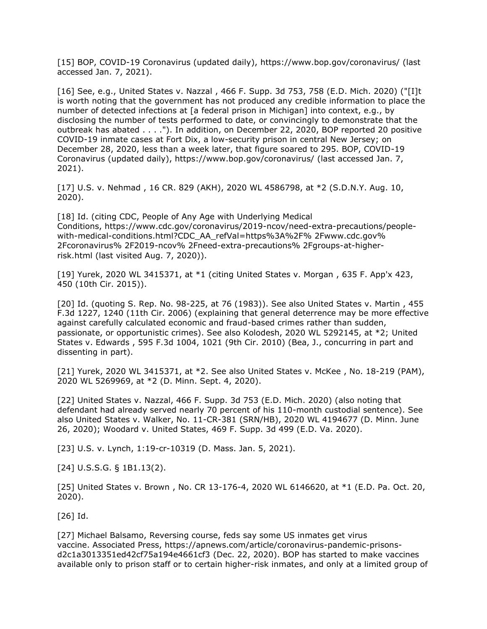[15] BOP, COVID-19 Coronavirus (updated daily), <https://www.bop.gov/coronavirus/> (last accessed Jan. 7, 2021).

[16] See, e.g., [United States v. Nazzal](https://advance.lexis.com/api/search?q=2020%20U.S.%20Dist.%20LEXIS%20101391&qlang=bool&origination=law360&internalOrigination=article_id%3D1343757%3Bcitation%3D2020%20U.S.%20Dist.%20LEXIS%20101391&originationDetail=headline%3DPandemic%20Is%20Changing%20Compassionate%20Release%20Calculus&) , 466 F. Supp. 3d 753, 758 (E.D. Mich. 2020) ("[I]t is worth noting that the government has not produced any credible information to place the number of detected infections at [a federal prison in Michigan] into context, e.g., by disclosing the number of tests performed to date, or convincingly to demonstrate that the outbreak has abated . . . ."). In addition, on December 22, 2020, BOP reported 20 positive COVID-19 inmate cases at Fort Dix, a low-security prison in central New Jersey; on December 28, 2020, less than a week later, that figure soared to 295. BOP, COVID-19 Coronavirus (updated daily), <https://www.bop.gov/coronavirus/> (last accessed Jan. 7, 2021).

[17] [U.S. v. Nehmad](https://advance.lexis.com/api/search?q=2020%20U.S.%20Dist.%20LEXIS%20142594&qlang=bool&origination=law360&internalOrigination=article_id%3D1343757%3Bcitation%3D2020%20U.S.%20Dist.%20LEXIS%20142594&originationDetail=headline%3DPandemic%20Is%20Changing%20Compassionate%20Release%20Calculus&) , 16 CR. 829 (AKH), 2020 WL 4586798, at \*2 (S.D.N.Y. Aug. 10, 2020).

[18] Id. (citing CDC, People of Any Age with Underlying Medical Conditions, [https://www.cdc.gov/coronavirus/2019-ncov/need-extra-precautions/people](https://www.cdc.gov/coronavirus/2019-ncov/need-extra-precautions/people-with-medical-conditions.html?CDC_AA_refVal=https%3A%2F%25%202Fwww.cdc.gov%25%202Fcoronavirus%25%202F2019-ncov%25%202Fneed-extra-precautions%25%202Fgroups-at-higher-risk.html)[with-medical-conditions.html?CDC\\_AA\\_refVal=https%3A%2F% 2Fwww.cdc.gov%](https://www.cdc.gov/coronavirus/2019-ncov/need-extra-precautions/people-with-medical-conditions.html?CDC_AA_refVal=https%3A%2F%25%202Fwww.cdc.gov%25%202Fcoronavirus%25%202F2019-ncov%25%202Fneed-extra-precautions%25%202Fgroups-at-higher-risk.html)  [2Fcoronavirus% 2F2019-ncov% 2Fneed-extra-precautions% 2Fgroups-at-higher](https://www.cdc.gov/coronavirus/2019-ncov/need-extra-precautions/people-with-medical-conditions.html?CDC_AA_refVal=https%3A%2F%25%202Fwww.cdc.gov%25%202Fcoronavirus%25%202F2019-ncov%25%202Fneed-extra-precautions%25%202Fgroups-at-higher-risk.html)[risk.html](https://www.cdc.gov/coronavirus/2019-ncov/need-extra-precautions/people-with-medical-conditions.html?CDC_AA_refVal=https%3A%2F%25%202Fwww.cdc.gov%25%202Fcoronavirus%25%202F2019-ncov%25%202Fneed-extra-precautions%25%202Fgroups-at-higher-risk.html) (last visited Aug. 7, 2020)).

[19] Yurek, 2020 WL 3415371, at \*1 (citing [United States v. Morgan](https://advance.lexis.com/api/search?q=2015%20U.S.%20App.%20LEXIS%2019402&qlang=bool&origination=law360&internalOrigination=article_id%3D1343757%3Bcitation%3D2015%20U.S.%20App.%20LEXIS%2019402&originationDetail=headline%3DPandemic%20Is%20Changing%20Compassionate%20Release%20Calculus&) , 635 F. App'x 423, 450 (10th Cir. 2015)).

[20] Id. (quoting S. Rep. No. 98-225, at 76 (1983)). See also [United States v. Martin](https://advance.lexis.com/api/search?q=2006%20U.S.%20App.%20LEXIS%2017261&qlang=bool&origination=law360&internalOrigination=article_id%3D1343757%3Bcitation%3D2006%20U.S.%20App.%20LEXIS%2017261&originationDetail=headline%3DPandemic%20Is%20Changing%20Compassionate%20Release%20Calculus&) , 455 F.3d 1227, 1240 (11th Cir. 2006) (explaining that general deterrence may be more effective against carefully calculated economic and fraud-based crimes rather than sudden, passionate, or opportunistic crimes). See also Kolodesh, 2020 WL 5292145, at \*2; [United](https://advance.lexis.com/api/search?q=2010%20U.S.%20App.%20LEXIS%202955&qlang=bool&origination=law360&internalOrigination=article_id%3D1343757%3Bcitation%3D2010%20U.S.%20App.%20LEXIS%202955&originationDetail=headline%3DPandemic%20Is%20Changing%20Compassionate%20Release%20Calculus&)  [States v. Edwards](https://advance.lexis.com/api/search?q=2010%20U.S.%20App.%20LEXIS%202955&qlang=bool&origination=law360&internalOrigination=article_id%3D1343757%3Bcitation%3D2010%20U.S.%20App.%20LEXIS%202955&originationDetail=headline%3DPandemic%20Is%20Changing%20Compassionate%20Release%20Calculus&) , 595 F.3d 1004, 1021 (9th Cir. 2010) (Bea, J., concurring in part and dissenting in part).

[21] Yurek, 2020 WL 3415371, at \*2. See also [United States v. McKee](https://advance.lexis.com/api/search?q=2020%20U.S.%20Dist.%20LEXIS%20161987&qlang=bool&origination=law360&internalOrigination=article_id%3D1343757%3Bcitation%3D2020%20U.S.%20Dist.%20LEXIS%20161987&originationDetail=headline%3DPandemic%20Is%20Changing%20Compassionate%20Release%20Calculus&), No. 18-219 (PAM), 2020 WL 5269969, at \*2 (D. Minn. Sept. 4, 2020).

[22] United States v. Nazzal, 466 F. Supp. 3d 753 (E.D. Mich. 2020) (also noting that defendant had already served nearly 70 percent of his 110-month custodial sentence). See also United States v. Walker, No. 11-CR-381 (SRN/HB), 2020 WL 4194677 (D. Minn. June 26, 2020); Woodard v. United States, 469 F. Supp. 3d 499 (E.D. Va. 2020).

[23] U.S. v. Lynch, 1:19-cr-10319 (D. Mass. Jan. 5, 2021).

[24] U.S.S.G. § 1B1.13(2).

[25] [United States v. Brown](https://advance.lexis.com/api/search?q=2020%20U.S.%20Dist.%20LEXIS%20193861&qlang=bool&origination=law360&internalOrigination=article_id%3D1343757%3Bcitation%3D2020%20U.S.%20Dist.%20LEXIS%20193861&originationDetail=headline%3DPandemic%20Is%20Changing%20Compassionate%20Release%20Calculus&) , No. CR 13-176-4, 2020 WL 6146620, at \*1 (E.D. Pa. Oct. 20, 2020).

[26] Id.

[27] Michael Balsamo, Reversing course, feds say some US inmates get virus vaccine. [Associated Press,](https://www.law360.com/companies/associated-press) [https://apnews.com/article/coronavirus-pandemic-prisons](https://apnews.com/article/coronavirus-pandemic-prisons-d2c1a3013351ed42cf75a194e4661cf3)[d2c1a3013351ed42cf75a194e4661cf3](https://apnews.com/article/coronavirus-pandemic-prisons-d2c1a3013351ed42cf75a194e4661cf3) (Dec. 22, 2020). BOP has started to make vaccines available only to prison staff or to certain higher-risk inmates, and only at a limited group of